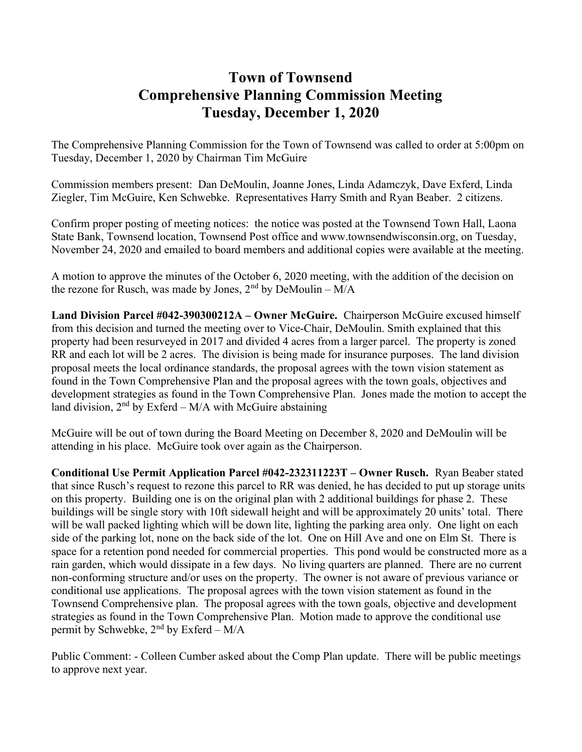## Town of Townsend Comprehensive Planning Commission Meeting Tuesday, December 1, 2020

The Comprehensive Planning Commission for the Town of Townsend was called to order at 5:00pm on Tuesday, December 1, 2020 by Chairman Tim McGuire

Commission members present: Dan DeMoulin, Joanne Jones, Linda Adamczyk, Dave Exferd, Linda Ziegler, Tim McGuire, Ken Schwebke. Representatives Harry Smith and Ryan Beaber. 2 citizens.

Confirm proper posting of meeting notices: the notice was posted at the Townsend Town Hall, Laona State Bank, Townsend location, Townsend Post office and www.townsendwisconsin.org, on Tuesday, November 24, 2020 and emailed to board members and additional copies were available at the meeting.

A motion to approve the minutes of the October 6, 2020 meeting, with the addition of the decision on the rezone for Rusch, was made by Jones,  $2<sup>nd</sup>$  by DeMoulin –  $M/A$ 

Land Division Parcel #042-390300212A – Owner McGuire. Chairperson McGuire excused himself from this decision and turned the meeting over to Vice-Chair, DeMoulin. Smith explained that this property had been resurveyed in 2017 and divided 4 acres from a larger parcel. The property is zoned RR and each lot will be 2 acres. The division is being made for insurance purposes. The land division proposal meets the local ordinance standards, the proposal agrees with the town vision statement as found in the Town Comprehensive Plan and the proposal agrees with the town goals, objectives and development strategies as found in the Town Comprehensive Plan. Jones made the motion to accept the land division,  $2<sup>nd</sup>$  by Exferd – M/A with McGuire abstaining

McGuire will be out of town during the Board Meeting on December 8, 2020 and DeMoulin will be attending in his place. McGuire took over again as the Chairperson.

Conditional Use Permit Application Parcel #042-232311223T – Owner Rusch. Ryan Beaber stated that since Rusch's request to rezone this parcel to RR was denied, he has decided to put up storage units on this property. Building one is on the original plan with 2 additional buildings for phase 2. These buildings will be single story with 10ft sidewall height and will be approximately 20 units' total. There will be wall packed lighting which will be down lite, lighting the parking area only. One light on each side of the parking lot, none on the back side of the lot. One on Hill Ave and one on Elm St. There is space for a retention pond needed for commercial properties. This pond would be constructed more as a rain garden, which would dissipate in a few days. No living quarters are planned. There are no current non-conforming structure and/or uses on the property. The owner is not aware of previous variance or conditional use applications. The proposal agrees with the town vision statement as found in the Townsend Comprehensive plan. The proposal agrees with the town goals, objective and development strategies as found in the Town Comprehensive Plan. Motion made to approve the conditional use permit by Schwebke,  $2<sup>nd</sup>$  by Exferd – M/A

Public Comment: - Colleen Cumber asked about the Comp Plan update. There will be public meetings to approve next year.